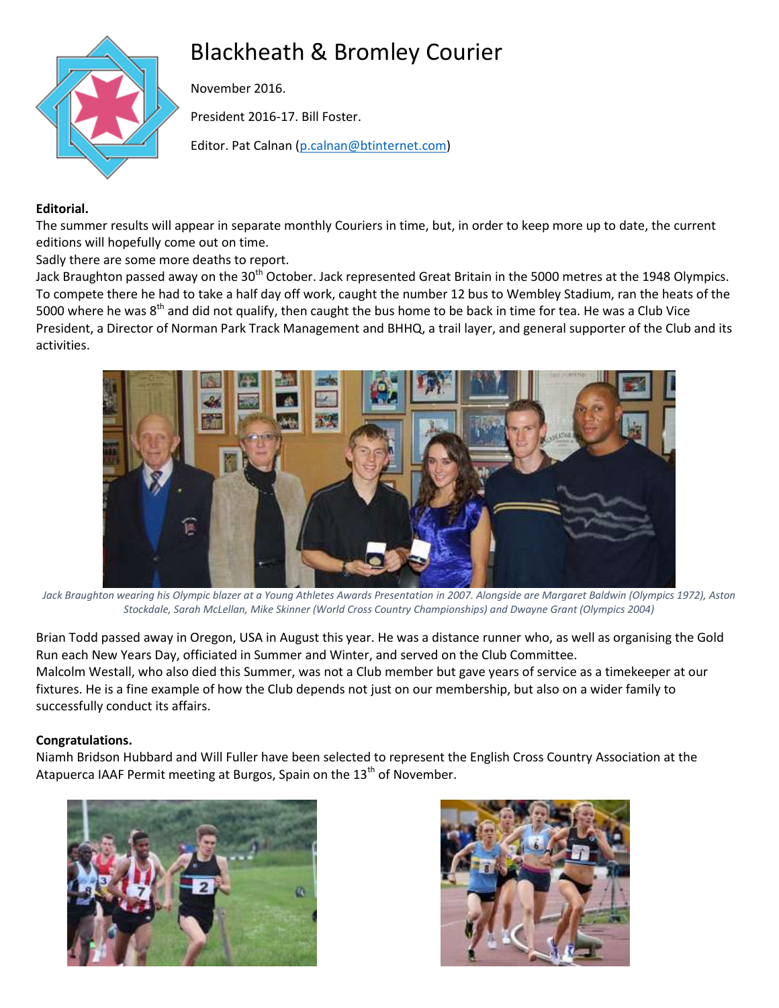# Blackheath & Bromley Courier



November 2016.

President 2016-17. Bill Foster.

Editor. Pat Calnan [\(p.calnan@btinternet.com\)](mailto:p.calnan@btinternet.com)

# **Editorial.**

The summer results will appear in separate monthly Couriers in time, but, in order to keep more up to date, the current editions will hopefully come out on time.

Sadly there are some more deaths to report.

Jack Braughton passed away on the 30<sup>th</sup> October. Jack represented Great Britain in the 5000 metres at the 1948 Olympics. To compete there he had to take a half day off work, caught the number 12 bus to Wembley Stadium, ran the heats of the 5000 where he was 8<sup>th</sup> and did not qualify, then caught the bus home to be back in time for tea. He was a Club Vice President, a Director of Norman Park Track Management and BHHQ, a trail layer, and general supporter of the Club and its activities.



*Jack Braughton wearing his Olympic blazer at a Young Athletes Awards Presentation in 2007. Alongside are Margaret Baldwin (Olympics 1972), Aston Stockdale, Sarah McLellan, Mike Skinner (World Cross Country Championships) and Dwayne Grant (Olympics 2004)*

Brian Todd passed away in Oregon, USA in August this year. He was a distance runner who, as well as organising the Gold Run each New Years Day, officiated in Summer and Winter, and served on the Club Committee. Malcolm Westall, who also died this Summer, was not a Club member but gave years of service as a timekeeper at our fixtures. He is a fine example of how the Club depends not just on our membership, but also on a wider family to successfully conduct its affairs.

# **Congratulations.**

Niamh Bridson Hubbard and Will Fuller have been selected to represent the English Cross Country Association at the Atapuerca IAAF Permit meeting at Burgos, Spain on the 13<sup>th</sup> of November.



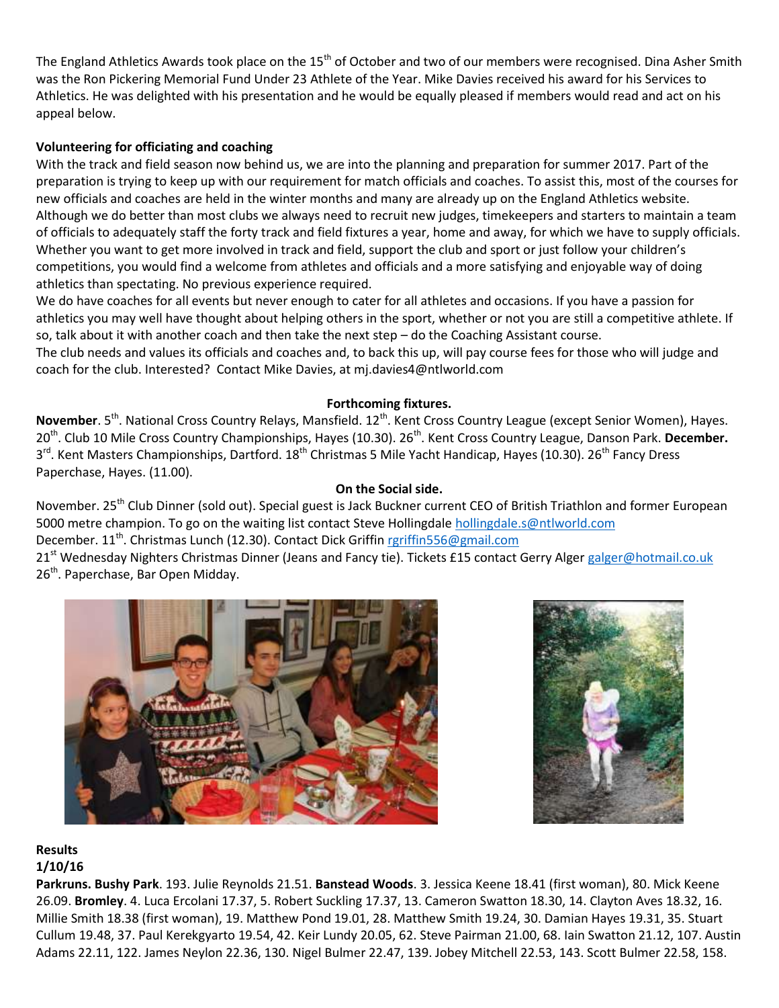The England Athletics Awards took place on the 15<sup>th</sup> of October and two of our members were recognised. Dina Asher Smith was the Ron Pickering Memorial Fund Under 23 Athlete of the Year. Mike Davies received his award for his Services to Athletics. He was delighted with his presentation and he would be equally pleased if members would read and act on his appeal below.

## **Volunteering for officiating and coaching**

With the track and field season now behind us, we are into the planning and preparation for summer 2017. Part of the preparation is trying to keep up with our requirement for match officials and coaches. To assist this, most of the courses for new officials and coaches are held in the winter months and many are already up on the England Athletics website. Although we do better than most clubs we always need to recruit new judges, timekeepers and starters to maintain a team of officials to adequately staff the forty track and field fixtures a year, home and away, for which we have to supply officials. Whether you want to get more involved in track and field, support the club and sport or just follow your children's competitions, you would find a welcome from athletes and officials and a more satisfying and enjoyable way of doing athletics than spectating. No previous experience required.

We do have coaches for all events but never enough to cater for all athletes and occasions. If you have a passion for athletics you may well have thought about helping others in the sport, whether or not you are still a competitive athlete. If so, talk about it with another coach and then take the next step – do the Coaching Assistant course.

The club needs and values its officials and coaches and, to back this up, will pay course fees for those who will judge and coach for the club. Interested? Contact Mike Davies, at mj.davies4@ntlworld.com

#### **Forthcoming fixtures.**

November. 5<sup>th</sup>. National Cross Country Relays, Mansfield. 12<sup>th</sup>. Kent Cross Country League (except Senior Women), Hayes. 20<sup>th</sup>. Club 10 Mile Cross Country Championships, Hayes (10.30). 26<sup>th</sup>. Kent Cross Country League, Danson Park. December. 3<sup>rd</sup>. Kent Masters Championships, Dartford. 18<sup>th</sup> Christmas 5 Mile Yacht Handicap, Hayes (10.30). 26<sup>th</sup> Fancy Dress Paperchase, Hayes. (11.00).

## **On the Social side.**

November. 25<sup>th</sup> Club Dinner (sold out). Special guest is Jack Buckner current CEO of British Triathlon and former European 5000 metre champion. To go on the waiting list contact Steve Hollingdale [hollingdale.s@ntlworld.com](mailto:hollingdale.s@ntlworld.com) December. 11<sup>th</sup>. Christmas Lunch (12.30). Contact Dick Griffi[n rgriffin556@gmail.com](mailto:rgriffin556@gmail.com)

21<sup>st</sup> Wednesday Nighters Christmas Dinner (Jeans and Fancy tie). Tickets £15 contact Gerry Alger [galger@hotmail.co.uk](mailto:galger@hotmail.co.uk) 26<sup>th</sup>. Paperchase, Bar Open Midday.





# **Results**

# **1/10/16**

**Parkruns. Bushy Park**. 193. Julie Reynolds 21.51. **Banstead Woods**. 3. Jessica Keene 18.41 (first woman), 80. Mick Keene 26.09. **Bromley**. 4. Luca Ercolani 17.37, 5. Robert Suckling 17.37, 13. Cameron Swatton 18.30, 14. Clayton Aves 18.32, 16. Millie Smith 18.38 (first woman), 19. Matthew Pond 19.01, 28. Matthew Smith 19.24, 30. Damian Hayes 19.31, 35. Stuart Cullum 19.48, 37. Paul Kerekgyarto 19.54, 42. Keir Lundy 20.05, 62. Steve Pairman 21.00, 68. Iain Swatton 21.12, 107. Austin Adams 22.11, 122. James Neylon 22.36, 130. Nigel Bulmer 22.47, 139. Jobey Mitchell 22.53, 143. Scott Bulmer 22.58, 158.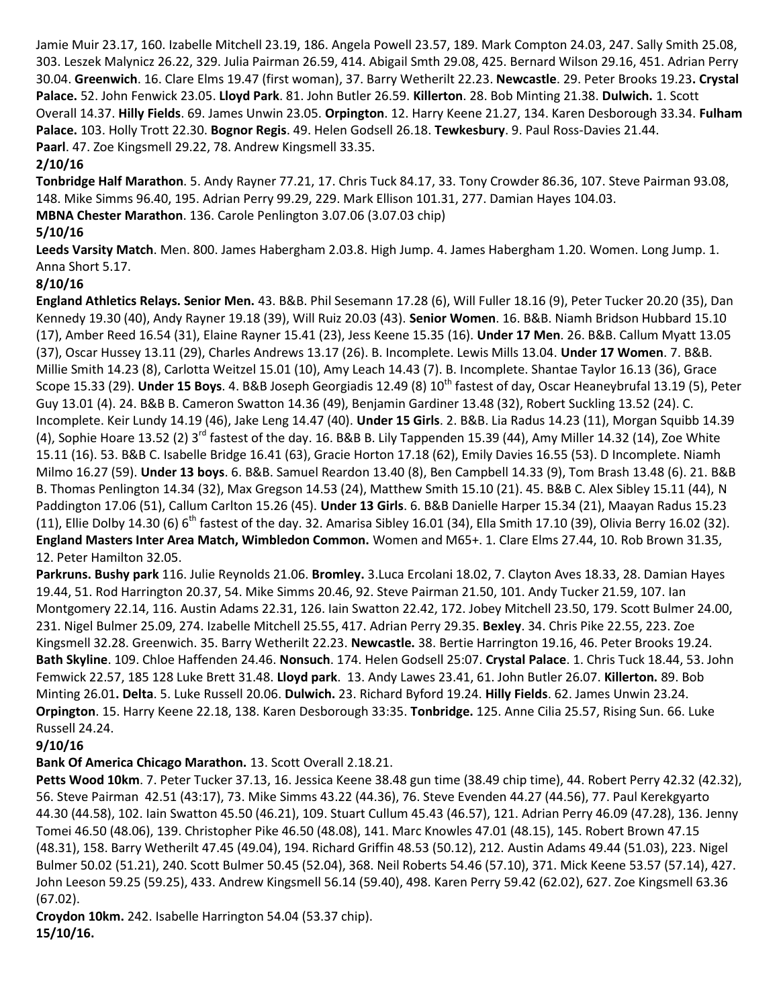Jamie Muir 23.17, 160. Izabelle Mitchell 23.19, 186. Angela Powell 23.57, 189. Mark Compton 24.03, 247. Sally Smith 25.08, 303. Leszek Malynicz 26.22, 329. Julia Pairman 26.59, 414. Abigail Smth 29.08, 425. Bernard Wilson 29.16, 451. Adrian Perry 30.04. **Greenwich**. 16. Clare Elms 19.47 (first woman), 37. Barry Wetherilt 22.23. **Newcastle**. 29. Peter Brooks 19.23**. Crystal Palace.** 52. John Fenwick 23.05. **Lloyd Park**. 81. John Butler 26.59. **Killerton**. 28. Bob Minting 21.38. **Dulwich.** 1. Scott Overall 14.37. **Hilly Fields**. 69. James Unwin 23.05. **Orpington**. 12. Harry Keene 21.27, 134. Karen Desborough 33.34. **Fulham Palace.** 103. Holly Trott 22.30. **Bognor Regis**. 49. Helen Godsell 26.18. **Tewkesbury**. 9. Paul Ross-Davies 21.44. **Paarl**. 47. Zoe Kingsmell 29.22, 78. Andrew Kingsmell 33.35.

## **2/10/16**

**Tonbridge Half Marathon**. 5. Andy Rayner 77.21, 17. Chris Tuck 84.17, 33. Tony Crowder 86.36, 107. Steve Pairman 93.08, 148. Mike Simms 96.40, 195. Adrian Perry 99.29, 229. Mark Ellison 101.31, 277. Damian Hayes 104.03.

**MBNA Chester Marathon**. 136. Carole Penlington 3.07.06 (3.07.03 chip)

# **5/10/16**

**Leeds Varsity Match**. Men. 800. James Habergham 2.03.8. High Jump. 4. James Habergham 1.20. Women. Long Jump. 1. Anna Short 5.17.

# **8/10/16**

**England Athletics Relays. Senior Men.** 43. B&B. Phil Sesemann 17.28 (6), Will Fuller 18.16 (9), Peter Tucker 20.20 (35), Dan Kennedy 19.30 (40), Andy Rayner 19.18 (39), Will Ruiz 20.03 (43). **Senior Women**. 16. B&B. Niamh Bridson Hubbard 15.10 (17), Amber Reed 16.54 (31), Elaine Rayner 15.41 (23), Jess Keene 15.35 (16). **Under 17 Men**. 26. B&B. Callum Myatt 13.05 (37), Oscar Hussey 13.11 (29), Charles Andrews 13.17 (26). B. Incomplete. Lewis Mills 13.04. **Under 17 Women**. 7. B&B. Millie Smith 14.23 (8), Carlotta Weitzel 15.01 (10), Amy Leach 14.43 (7). B. Incomplete. Shantae Taylor 16.13 (36), Grace Scope 15.33 (29). Under 15 Boys. 4. B&B Joseph Georgiadis 12.49 (8) 10<sup>th</sup> fastest of day, Oscar Heaneybrufal 13.19 (5), Peter Guy 13.01 (4). 24. B&B B. Cameron Swatton 14.36 (49), Benjamin Gardiner 13.48 (32), Robert Suckling 13.52 (24). C. Incomplete. Keir Lundy 14.19 (46), Jake Leng 14.47 (40). **Under 15 Girls**. 2. B&B. Lia Radus 14.23 (11), Morgan Squibb 14.39 (4), Sophie Hoare 13.52 (2) 3<sup>rd</sup> fastest of the day. 16. B&B B. Lily Tappenden 15.39 (44), Amy Miller 14.32 (14), Zoe White 15.11 (16). 53. B&B C. Isabelle Bridge 16.41 (63), Gracie Horton 17.18 (62), Emily Davies 16.55 (53). D Incomplete. Niamh Milmo 16.27 (59). **Under 13 boys**. 6. B&B. Samuel Reardon 13.40 (8), Ben Campbell 14.33 (9), Tom Brash 13.48 (6). 21. B&B B. Thomas Penlington 14.34 (32), Max Gregson 14.53 (24), Matthew Smith 15.10 (21). 45. B&B C. Alex Sibley 15.11 (44), N Paddington 17.06 (51), Callum Carlton 15.26 (45). **Under 13 Girls**. 6. B&B Danielle Harper 15.34 (21), Maayan Radus 15.23 (11), Ellie Dolby 14.30 (6)  $6^{th}$  fastest of the day. 32. Amarisa Sibley 16.01 (34), Ella Smith 17.10 (39), Olivia Berry 16.02 (32). **England Masters Inter Area Match, Wimbledon Common.** Women and M65+. 1. Clare Elms 27.44, 10. Rob Brown 31.35, 12. Peter Hamilton 32.05.

**Parkruns. Bushy park** 116. Julie Reynolds 21.06. **Bromley.** 3.Luca Ercolani 18.02, 7. Clayton Aves 18.33, 28. Damian Hayes 19.44, 51. Rod Harrington 20.37, 54. Mike Simms 20.46, 92. Steve Pairman 21.50, 101. Andy Tucker 21.59, 107. Ian Montgomery 22.14, 116. Austin Adams 22.31, 126. Iain Swatton 22.42, 172. Jobey Mitchell 23.50, 179. Scott Bulmer 24.00, 231. Nigel Bulmer 25.09, 274. Izabelle Mitchell 25.55, 417. Adrian Perry 29.35. **Bexley**. 34. Chris Pike 22.55, 223. Zoe Kingsmell 32.28. Greenwich. 35. Barry Wetherilt 22.23. **Newcastle.** 38. Bertie Harrington 19.16, 46. Peter Brooks 19.24. **Bath Skyline**. 109. Chloe Haffenden 24.46. **Nonsuch**. 174. Helen Godsell 25:07. **Crystal Palace**. 1. Chris Tuck 18.44, 53. John Femwick 22.57, 185 128 Luke Brett 31.48. **Lloyd park**. 13. Andy Lawes 23.41, 61. John Butler 26.07. **Killerton.** 89. Bob Minting 26.01**. Delta**. 5. Luke Russell 20.06. **Dulwich.** 23. Richard Byford 19.24. **Hilly Fields**. 62. James Unwin 23.24. **Orpington**. 15. Harry Keene 22.18, 138. Karen Desborough 33:35. **Tonbridge.** 125. Anne Cilia 25.57, Rising Sun. 66. Luke Russell 24.24.

# **9/10/16**

# **Bank Of America Chicago Marathon.** 13. Scott Overall 2.18.21.

**Petts Wood 10km**. 7. Peter Tucker 37.13, 16. Jessica Keene 38.48 gun time (38.49 chip time), 44. Robert Perry 42.32 (42.32), 56. Steve Pairman 42.51 (43:17), 73. Mike Simms 43.22 (44.36), 76. Steve Evenden 44.27 (44.56), 77. Paul Kerekgyarto 44.30 (44.58), 102. Iain Swatton 45.50 (46.21), 109. Stuart Cullum 45.43 (46.57), 121. Adrian Perry 46.09 (47.28), 136. Jenny Tomei 46.50 (48.06), 139. Christopher Pike 46.50 (48.08), 141. Marc Knowles 47.01 (48.15), 145. Robert Brown 47.15 (48.31), 158. Barry Wetherilt 47.45 (49.04), 194. Richard Griffin 48.53 (50.12), 212. Austin Adams 49.44 (51.03), 223. Nigel Bulmer 50.02 (51.21), 240. Scott Bulmer 50.45 (52.04), 368. Neil Roberts 54.46 (57.10), 371. Mick Keene 53.57 (57.14), 427. John Leeson 59.25 (59.25), 433. Andrew Kingsmell 56.14 (59.40), 498. Karen Perry 59.42 (62.02), 627. Zoe Kingsmell 63.36 (67.02).

**Croydon 10km.** 242. Isabelle Harrington 54.04 (53.37 chip). **15/10/16.**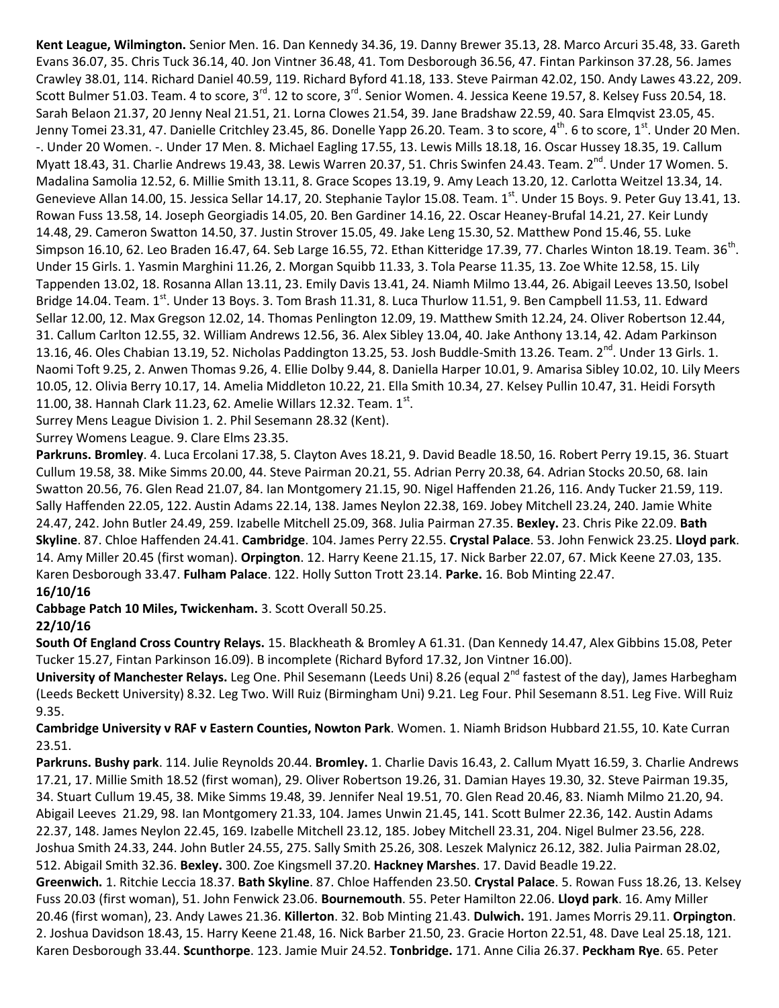**Kent League, Wilmington.** Senior Men. 16. Dan Kennedy 34.36, 19. Danny Brewer 35.13, 28. Marco Arcuri 35.48, 33. Gareth Evans 36.07, 35. Chris Tuck 36.14, 40. Jon Vintner 36.48, 41. Tom Desborough 36.56, 47. Fintan Parkinson 37.28, 56. James Crawley 38.01, 114. Richard Daniel 40.59, 119. Richard Byford 41.18, 133. Steve Pairman 42.02, 150. Andy Lawes 43.22, 209. Scott Bulmer 51.03. Team. 4 to score, 3<sup>rd</sup>. 12 to score, 3<sup>rd</sup>. Senior Women. 4. Jessica Keene 19.57, 8. Kelsey Fuss 20.54, 18. Sarah Belaon 21.37, 20 Jenny Neal 21.51, 21. Lorna Clowes 21.54, 39. Jane Bradshaw 22.59, 40. Sara Elmqvist 23.05, 45. Jenny Tomei 23.31, 47. Danielle Critchley 23.45, 86. Donelle Yapp 26.20. Team. 3 to score, 4<sup>th</sup>. 6 to score, 1<sup>st</sup>. Under 20 Men. -. Under 20 Women. -. Under 17 Men. 8. Michael Eagling 17.55, 13. Lewis Mills 18.18, 16. Oscar Hussey 18.35, 19. Callum Myatt 18.43, 31. Charlie Andrews 19.43, 38. Lewis Warren 20.37, 51. Chris Swinfen 24.43. Team. 2<sup>nd</sup>. Under 17 Women. 5. Madalina Samolia 12.52, 6. Millie Smith 13.11, 8. Grace Scopes 13.19, 9. Amy Leach 13.20, 12. Carlotta Weitzel 13.34, 14. Genevieve Allan 14.00, 15. Jessica Sellar 14.17, 20. Stephanie Taylor 15.08. Team. 1<sup>st</sup>. Under 15 Boys. 9. Peter Guy 13.41, 13. Rowan Fuss 13.58, 14. Joseph Georgiadis 14.05, 20. Ben Gardiner 14.16, 22. Oscar Heaney-Brufal 14.21, 27. Keir Lundy 14.48, 29. Cameron Swatton 14.50, 37. Justin Strover 15.05, 49. Jake Leng 15.30, 52. Matthew Pond 15.46, 55. Luke Simpson 16.10, 62. Leo Braden 16.47, 64. Seb Large 16.55, 72. Ethan Kitteridge 17.39, 77. Charles Winton 18.19. Team. 36<sup>th</sup>. Under 15 Girls. 1. Yasmin Marghini 11.26, 2. Morgan Squibb 11.33, 3. Tola Pearse 11.35, 13. Zoe White 12.58, 15. Lily Tappenden 13.02, 18. Rosanna Allan 13.11, 23. Emily Davis 13.41, 24. Niamh Milmo 13.44, 26. Abigail Leeves 13.50, Isobel Bridge 14.04. Team.  $1^{st}$ . Under 13 Boys. 3. Tom Brash 11.31, 8. Luca Thurlow 11.51, 9. Ben Campbell 11.53, 11. Edward Sellar 12.00, 12. Max Gregson 12.02, 14. Thomas Penlington 12.09, 19. Matthew Smith 12.24, 24. Oliver Robertson 12.44, 31. Callum Carlton 12.55, 32. William Andrews 12.56, 36. Alex Sibley 13.04, 40. Jake Anthony 13.14, 42. Adam Parkinson 13.16, 46. Oles Chabian 13.19, 52. Nicholas Paddington 13.25, 53. Josh Buddle-Smith 13.26. Team. 2<sup>nd</sup>. Under 13 Girls. 1. Naomi Toft 9.25, 2. Anwen Thomas 9.26, 4. Ellie Dolby 9.44, 8. Daniella Harper 10.01, 9. Amarisa Sibley 10.02, 10. Lily Meers 10.05, 12. Olivia Berry 10.17, 14. Amelia Middleton 10.22, 21. Ella Smith 10.34, 27. Kelsey Pullin 10.47, 31. Heidi Forsyth 11.00, 38. Hannah Clark 11.23, 62. Amelie Willars 12.32. Team.  $1^{st}$ .

Surrey Mens League Division 1. 2. Phil Sesemann 28.32 (Kent).

Surrey Womens League. 9. Clare Elms 23.35.

**Parkruns. Bromley**. 4. Luca Ercolani 17.38, 5. Clayton Aves 18.21, 9. David Beadle 18.50, 16. Robert Perry 19.15, 36. Stuart Cullum 19.58, 38. Mike Simms 20.00, 44. Steve Pairman 20.21, 55. Adrian Perry 20.38, 64. Adrian Stocks 20.50, 68. Iain Swatton 20.56, 76. Glen Read 21.07, 84. Ian Montgomery 21.15, 90. Nigel Haffenden 21.26, 116. Andy Tucker 21.59, 119. Sally Haffenden 22.05, 122. Austin Adams 22.14, 138. James Neylon 22.38, 169. Jobey Mitchell 23.24, 240. Jamie White 24.47, 242. John Butler 24.49, 259. Izabelle Mitchell 25.09, 368. Julia Pairman 27.35. **Bexley.** 23. Chris Pike 22.09. **Bath Skyline**. 87. Chloe Haffenden 24.41. **Cambridge**. 104. James Perry 22.55. **Crystal Palace**. 53. John Fenwick 23.25. **Lloyd park**. 14. Amy Miller 20.45 (first woman). **Orpington**. 12. Harry Keene 21.15, 17. Nick Barber 22.07, 67. Mick Keene 27.03, 135. Karen Desborough 33.47. **Fulham Palace**. 122. Holly Sutton Trott 23.14. **Parke.** 16. Bob Minting 22.47.

## **16/10/16**

**Cabbage Patch 10 Miles, Twickenham.** 3. Scott Overall 50.25.

#### **22/10/16**

**South Of England Cross Country Relays.** 15. Blackheath & Bromley A 61.31. (Dan Kennedy 14.47, Alex Gibbins 15.08, Peter Tucker 15.27, Fintan Parkinson 16.09). B incomplete (Richard Byford 17.32, Jon Vintner 16.00).

University of Manchester Relays. Leg One. Phil Sesemann (Leeds Uni) 8.26 (equal 2<sup>nd</sup> fastest of the day), James Harbegham (Leeds Beckett University) 8.32. Leg Two. Will Ruiz (Birmingham Uni) 9.21. Leg Four. Phil Sesemann 8.51. Leg Five. Will Ruiz 9.35.

**Cambridge University v RAF v Eastern Counties, Nowton Park**. Women. 1. Niamh Bridson Hubbard 21.55, 10. Kate Curran 23.51.

**Parkruns. Bushy park**. 114. Julie Reynolds 20.44. **Bromley.** 1. Charlie Davis 16.43, 2. Callum Myatt 16.59, 3. Charlie Andrews 17.21, 17. Millie Smith 18.52 (first woman), 29. Oliver Robertson 19.26, 31. Damian Hayes 19.30, 32. Steve Pairman 19.35, 34. Stuart Cullum 19.45, 38. Mike Simms 19.48, 39. Jennifer Neal 19.51, 70. Glen Read 20.46, 83. Niamh Milmo 21.20, 94. Abigail Leeves 21.29, 98. Ian Montgomery 21.33, 104. James Unwin 21.45, 141. Scott Bulmer 22.36, 142. Austin Adams 22.37, 148. James Neylon 22.45, 169. Izabelle Mitchell 23.12, 185. Jobey Mitchell 23.31, 204. Nigel Bulmer 23.56, 228. Joshua Smith 24.33, 244. John Butler 24.55, 275. Sally Smith 25.26, 308. Leszek Malynicz 26.12, 382. Julia Pairman 28.02, 512. Abigail Smith 32.36. **Bexley.** 300. Zoe Kingsmell 37.20. **Hackney Marshes**. 17. David Beadle 19.22. **Greenwich.** 1. Ritchie Leccia 18.37. **Bath Skyline**. 87. Chloe Haffenden 23.50. **Crystal Palace**. 5. Rowan Fuss 18.26, 13. Kelsey Fuss 20.03 (first woman), 51. John Fenwick 23.06. **Bournemouth**. 55. Peter Hamilton 22.06. **Lloyd park**. 16. Amy Miller

20.46 (first woman), 23. Andy Lawes 21.36. **Killerton**. 32. Bob Minting 21.43. **Dulwich.** 191. James Morris 29.11. **Orpington**. 2. Joshua Davidson 18.43, 15. Harry Keene 21.48, 16. Nick Barber 21.50, 23. Gracie Horton 22.51, 48. Dave Leal 25.18, 121. Karen Desborough 33.44. **Scunthorpe**. 123. Jamie Muir 24.52. **Tonbridge.** 171. Anne Cilia 26.37. **Peckham Rye**. 65. Peter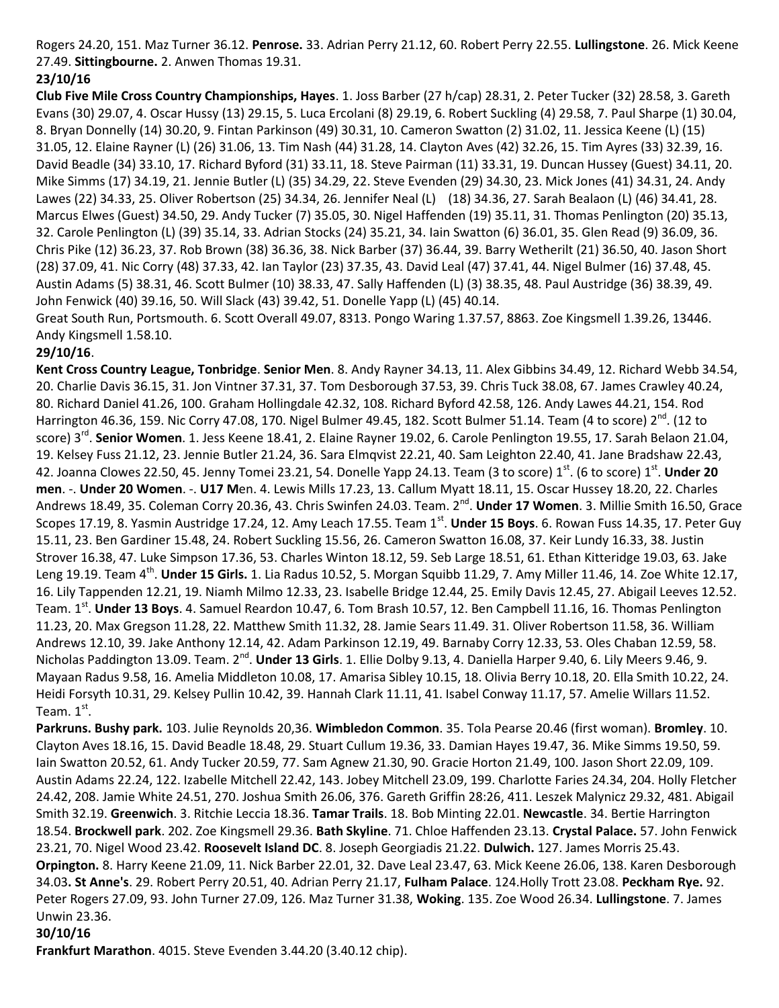Rogers 24.20, 151. Maz Turner 36.12. **Penrose.** 33. Adrian Perry 21.12, 60. Robert Perry 22.55. **Lullingstone**. 26. Mick Keene 27.49. **Sittingbourne.** 2. Anwen Thomas 19.31.

# **23/10/16**

**Club Five Mile Cross Country Championships, Hayes**. 1. Joss Barber (27 h/cap) 28.31, 2. Peter Tucker (32) 28.58, 3. Gareth Evans (30) 29.07, 4. Oscar Hussy (13) 29.15, 5. Luca Ercolani (8) 29.19, 6. Robert Suckling (4) 29.58, 7. Paul Sharpe (1) 30.04, 8. Bryan Donnelly (14) 30.20, 9. Fintan Parkinson (49) 30.31, 10. Cameron Swatton (2) 31.02, 11. Jessica Keene (L) (15) 31.05, 12. Elaine Rayner (L) (26) 31.06, 13. Tim Nash (44) 31.28, 14. Clayton Aves (42) 32.26, 15. Tim Ayres (33) 32.39, 16. David Beadle (34) 33.10, 17. Richard Byford (31) 33.11, 18. Steve Pairman (11) 33.31, 19. Duncan Hussey (Guest) 34.11, 20. Mike Simms (17) 34.19, 21. Jennie Butler (L) (35) 34.29, 22. Steve Evenden (29) 34.30, 23. Mick Jones (41) 34.31, 24. Andy Lawes (22) 34.33, 25. Oliver Robertson (25) 34.34, 26. Jennifer Neal (L) (18) 34.36, 27. Sarah Bealaon (L) (46) 34.41, 28. Marcus Elwes (Guest) 34.50, 29. Andy Tucker (7) 35.05, 30. Nigel Haffenden (19) 35.11, 31. Thomas Penlington (20) 35.13, 32. Carole Penlington (L) (39) 35.14, 33. Adrian Stocks (24) 35.21, 34. Iain Swatton (6) 36.01, 35. Glen Read (9) 36.09, 36. Chris Pike (12) 36.23, 37. Rob Brown (38) 36.36, 38. Nick Barber (37) 36.44, 39. Barry Wetherilt (21) 36.50, 40. Jason Short (28) 37.09, 41. Nic Corry (48) 37.33, 42. Ian Taylor (23) 37.35, 43. David Leal (47) 37.41, 44. Nigel Bulmer (16) 37.48, 45. Austin Adams (5) 38.31, 46. Scott Bulmer (10) 38.33, 47. Sally Haffenden (L) (3) 38.35, 48. Paul Austridge (36) 38.39, 49. John Fenwick (40) 39.16, 50. Will Slack (43) 39.42, 51. Donelle Yapp (L) (45) 40.14.

Great South Run, Portsmouth. 6. Scott Overall 49.07, 8313. Pongo Waring 1.37.57, 8863. Zoe Kingsmell 1.39.26, 13446. Andy Kingsmell 1.58.10.

## **29/10/16**.

**Kent Cross Country League, Tonbridge**. **Senior Men**. 8. Andy Rayner 34.13, 11. Alex Gibbins 34.49, 12. Richard Webb 34.54, 20. Charlie Davis 36.15, 31. Jon Vintner 37.31, 37. Tom Desborough 37.53, 39. Chris Tuck 38.08, 67. James Crawley 40.24, 80. Richard Daniel 41.26, 100. Graham Hollingdale 42.32, 108. Richard Byford 42.58, 126. Andy Lawes 44.21, 154. Rod Harrington 46.36, 159. Nic Corry 47.08, 170. Nigel Bulmer 49.45, 182. Scott Bulmer 51.14. Team (4 to score) 2<sup>nd</sup>. (12 to score) 3<sup>rd</sup>. **Senior Women**. 1. Jess Keene 18.41, 2. Elaine Rayner 19.02, 6. Carole Penlington 19.55, 17. Sarah Belaon 21.04, 19. Kelsey Fuss 21.12, 23. Jennie Butler 21.24, 36. Sara Elmqvist 22.21, 40. Sam Leighton 22.40, 41. Jane Bradshaw 22.43, 42. Joanna Clowes 22.50, 45. Jenny Tomei 23.21, 54. Donelle Yapp 24.13. Team (3 to score) 1<sup>st</sup>. (6 to score) 1<sup>st</sup>. **Under 20 men**. -. **Under 20 Women**. -. **U17 M**en. 4. Lewis Mills 17.23, 13. Callum Myatt 18.11, 15. Oscar Hussey 18.20, 22. Charles Andrews 18.49, 35. Coleman Corry 20.36, 43. Chris Swinfen 24.03. Team. 2<sup>nd</sup>. **Under 17 Women**. 3. Millie Smith 16.50, Grace Scopes 17.19, 8. Yasmin Austridge 17.24, 12. Amy Leach 17.55. Team 1<sup>st</sup>. **Under 15 Boys**. 6. Rowan Fuss 14.35, 17. Peter Guy 15.11, 23. Ben Gardiner 15.48, 24. Robert Suckling 15.56, 26. Cameron Swatton 16.08, 37. Keir Lundy 16.33, 38. Justin Strover 16.38, 47. Luke Simpson 17.36, 53. Charles Winton 18.12, 59. Seb Large 18.51, 61. Ethan Kitteridge 19.03, 63. Jake Leng 19.19. Team 4<sup>th</sup>. **Under 15 Girls.** 1. Lia Radus 10.52, 5. Morgan Squibb 11.29, 7. Amy Miller 11.46, 14. Zoe White 12.17, 16. Lily Tappenden 12.21, 19. Niamh Milmo 12.33, 23. Isabelle Bridge 12.44, 25. Emily Davis 12.45, 27. Abigail Leeves 12.52. Team. 1<sup>st</sup>. **Under 13 Boys**. 4. Samuel Reardon 10.47, 6. Tom Brash 10.57, 12. Ben Campbell 11.16, 16. Thomas Penlington 11.23, 20. Max Gregson 11.28, 22. Matthew Smith 11.32, 28. Jamie Sears 11.49. 31. Oliver Robertson 11.58, 36. William Andrews 12.10, 39. Jake Anthony 12.14, 42. Adam Parkinson 12.19, 49. Barnaby Corry 12.33, 53. Oles Chaban 12.59, 58. Nicholas Paddington 13.09. Team. 2<sup>nd</sup>. **Under 13 Girls**. 1. Ellie Dolby 9.13, 4. Daniella Harper 9.40, 6. Lily Meers 9.46, 9. Mayaan Radus 9.58, 16. Amelia Middleton 10.08, 17. Amarisa Sibley 10.15, 18. Olivia Berry 10.18, 20. Ella Smith 10.22, 24. Heidi Forsyth 10.31, 29. Kelsey Pullin 10.42, 39. Hannah Clark 11.11, 41. Isabel Conway 11.17, 57. Amelie Willars 11.52. Team.  $1^{\text{st}}$ .

**Parkruns. Bushy park.** 103. Julie Reynolds 20,36. **Wimbledon Common**. 35. Tola Pearse 20.46 (first woman). **Bromley**. 10. Clayton Aves 18.16, 15. David Beadle 18.48, 29. Stuart Cullum 19.36, 33. Damian Hayes 19.47, 36. Mike Simms 19.50, 59. Iain Swatton 20.52, 61. Andy Tucker 20.59, 77. Sam Agnew 21.30, 90. Gracie Horton 21.49, 100. Jason Short 22.09, 109. Austin Adams 22.24, 122. Izabelle Mitchell 22.42, 143. Jobey Mitchell 23.09, 199. Charlotte Faries 24.34, 204. Holly Fletcher 24.42, 208. Jamie White 24.51, 270. Joshua Smith 26.06, 376. Gareth Griffin 28:26, 411. Leszek Malynicz 29.32, 481. Abigail Smith 32.19. **Greenwich**. 3. Ritchie Leccia 18.36. **Tamar Trails**. 18. Bob Minting 22.01. **Newcastle**. 34. Bertie Harrington 18.54. **Brockwell park**. 202. Zoe Kingsmell 29.36. **Bath Skyline**. 71. Chloe Haffenden 23.13. **Crystal Palace.** 57. John Fenwick 23.21, 70. Nigel Wood 23.42. **Roosevelt Island DC**. 8. Joseph Georgiadis 21.22. **Dulwich.** 127. James Morris 25.43. **Orpington.** 8. Harry Keene 21.09, 11. Nick Barber 22.01, 32. Dave Leal 23.47, 63. Mick Keene 26.06, 138. Karen Desborough 34.03**. St Anne's**. 29. Robert Perry 20.51, 40. Adrian Perry 21.17, **Fulham Palace**. 124.Holly Trott 23.08. **Peckham Rye.** 92. Peter Rogers 27.09, 93. John Turner 27.09, 126. Maz Turner 31.38, **Woking**. 135. Zoe Wood 26.34. **Lullingstone**. 7. James Unwin 23.36.

# **30/10/16**

**Frankfurt Marathon**. 4015. Steve Evenden 3.44.20 (3.40.12 chip).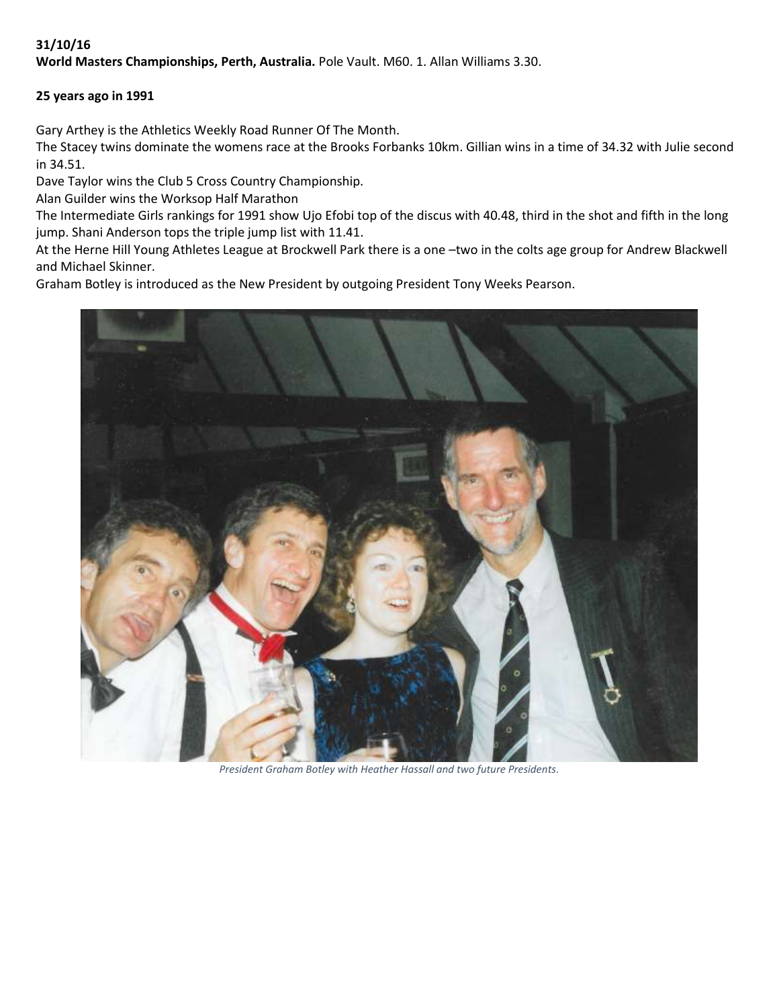# **31/10/16**

**World Masters Championships, Perth, Australia.** Pole Vault. M60. 1. Allan Williams 3.30.

## **25 years ago in 1991**

Gary Arthey is the Athletics Weekly Road Runner Of The Month.

The Stacey twins dominate the womens race at the Brooks Forbanks 10km. Gillian wins in a time of 34.32 with Julie second in 34.51.

Dave Taylor wins the Club 5 Cross Country Championship.

Alan Guilder wins the Worksop Half Marathon

The Intermediate Girls rankings for 1991 show Ujo Efobi top of the discus with 40.48, third in the shot and fifth in the long jump. Shani Anderson tops the triple jump list with 11.41.

At the Herne Hill Young Athletes League at Brockwell Park there is a one –two in the colts age group for Andrew Blackwell and Michael Skinner.

Graham Botley is introduced as the New President by outgoing President Tony Weeks Pearson.



*President Graham Botley with Heather Hassall and two future Presidents.*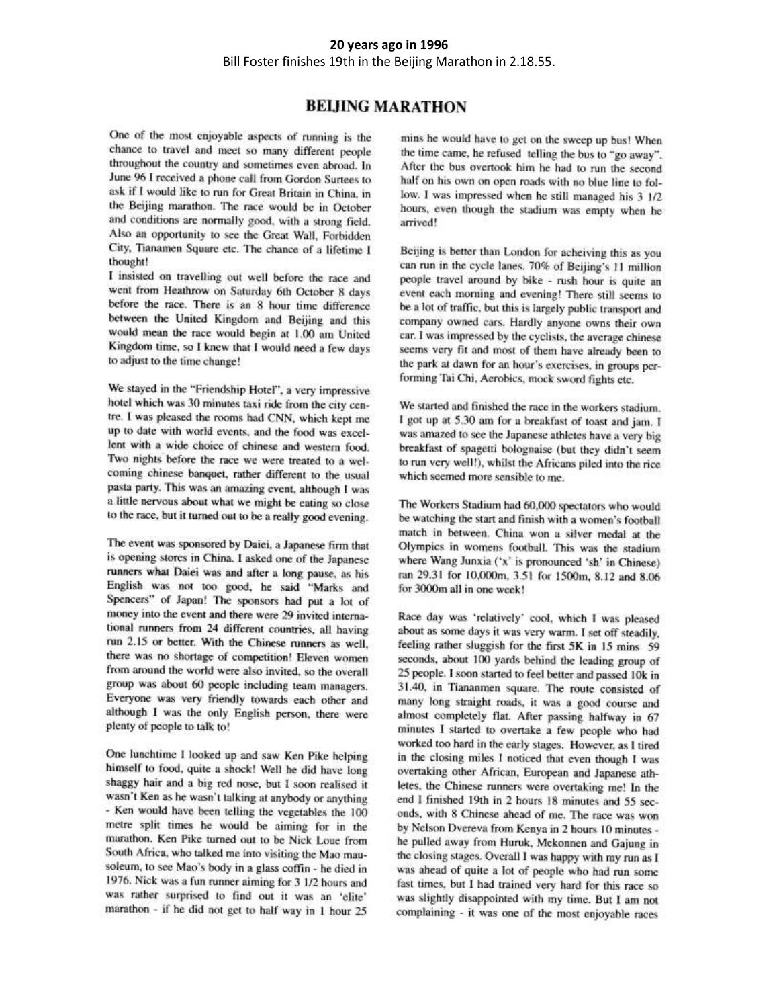#### 20 years ago in 1996 Bill Foster finishes 19th in the Beijing Marathon in 2.18.55.

## **BELHNG MARATHON**

One of the most enjoyable aspects of running is the chance to travel and meet so many different people throughout the country and sometimes even abroad. In June 96 I received a phone call from Gordon Surtees to ask if I would like to run for Great Britain in China, in the Beijing marathon. The race would be in October and conditions are normally good, with a strong field. Also an opportunity to see the Great Wall, Forbidden City, Tianamen Square etc. The chance of a lifetime I thought!

I insisted on travelling out well before the race and went from Heathrow on Saturday 6th October 8 days before the race. There is an 8 hour time difference between the United Kingdom and Beijing and this would mean the race would begin at 1.00 am United Kingdom time, so I knew that I would need a few days to adjust to the time change!

We stayed in the "Friendship Hotel", a very impressive hotel which was 30 minutes taxi ride from the city centre. I was pleased the rooms had CNN, which kept me up to date with world events, and the food was excellent with a wide choice of chinese and western food. Two nights before the race we were treated to a welcoming chinese banquet, rather different to the usual pasta party. This was an amazing event, although I was a little nervous about what we might be eating so close to the race, but it turned out to be a really good evening.

The event was sponsored by Daiei, a Japanese firm that is opening stores in China. I asked one of the Japanese runners what Daiei was and after a long pause, as his English was not too good, he said "Marks and Spencers" of Japan! The sponsors had put a lot of money into the event and there were 29 invited international runners from 24 different countries, all having run 2.15 or better. With the Chinese runners as well, there was no shortage of competition! Eleven women from around the world were also invited, so the overall group was about 60 people including team managers. Everyone was very friendly towards each other and although I was the only English person, there were plenty of people to talk to!

One lunchtime I looked up and saw Ken Pike helping himself to food, quite a shock! Well he did have long shaggy hair and a big red nose, but I soon realised it wasn't Ken as he wasn't talking at anybody or anything - Ken would have been telling the vegetables the 100 metre split times he would be aiming for in the marathon. Ken Pike turned out to be Nick Loue from South Africa, who talked me into visiting the Mao mausoleum, to see Mao's body in a glass coffin - he died in 1976. Nick was a fun runner aiming for 3 1/2 hours and was rather surprised to find out it was an 'elite' marathon - if he did not get to half way in 1 hour 25

mins he would have to get on the sweep up bus! When the time came, he refused telling the bus to "go away". After the bus overtook him he had to run the second half on his own on open roads with no blue line to follow. I was impressed when he still managed his 3 1/2 hours, even though the stadium was empty when he arrived!

Beijing is better than London for acheiving this as you can run in the cycle lanes. 70% of Beijing's 11 million people travel around by bike - rush hour is quite an event each morning and evening! There still seems to be a lot of traffic, but this is largely public transport and company owned cars. Hardly anyone owns their own car. I was impressed by the cyclists, the average chinese seems very fit and most of them have already been to the park at dawn for an hour's exercises, in groups performing Tai Chi, Aerobics, mock sword fights etc.

We started and finished the race in the workers stadium. I got up at 5.30 am for a breakfast of toast and jam. I was amazed to see the Japanese athletes have a very big breakfast of spagetti bolognaise (but they didn't seem to run very well!), whilst the Africans piled into the rice which seemed more sensible to me.

The Workers Stadium had 60,000 spectators who would be watching the start and finish with a women's football match in between. China won a silver medal at the Olympics in womens football. This was the stadium where Wang Junxia ('x' is pronounced 'sh' in Chinese) ran 29.31 for 10,000m, 3.51 for 1500m, 8.12 and 8.06 for 3000m all in one week!

Race day was 'relatively' cool, which I was pleased about as some days it was very warm. I set off steadily, feeling rather sluggish for the first 5K in 15 mins 59 seconds, about 100 yards behind the leading group of 25 people. I soon started to feel better and passed 10k in 31.40, in Tiananmen square. The route consisted of many long straight roads, it was a good course and almost completely flat. After passing halfway in 67 minutes I started to overtake a few people who had worked too hard in the early stages. However, as I tired in the closing miles I noticed that even though I was overtaking other African, European and Japanese athletes, the Chinese runners were overtaking me! In the end I finished 19th in 2 hours 18 minutes and 55 seconds, with 8 Chinese ahead of me. The race was won by Nelson Dvereva from Kenya in 2 hours 10 minutes he pulled away from Huruk, Mckonnen and Gajung in the closing stages. Overall I was happy with my run as I was ahead of quite a lot of people who had run some fast times, but I had trained very hard for this race so was slightly disappointed with my time. But I am not complaining - it was one of the most enjoyable races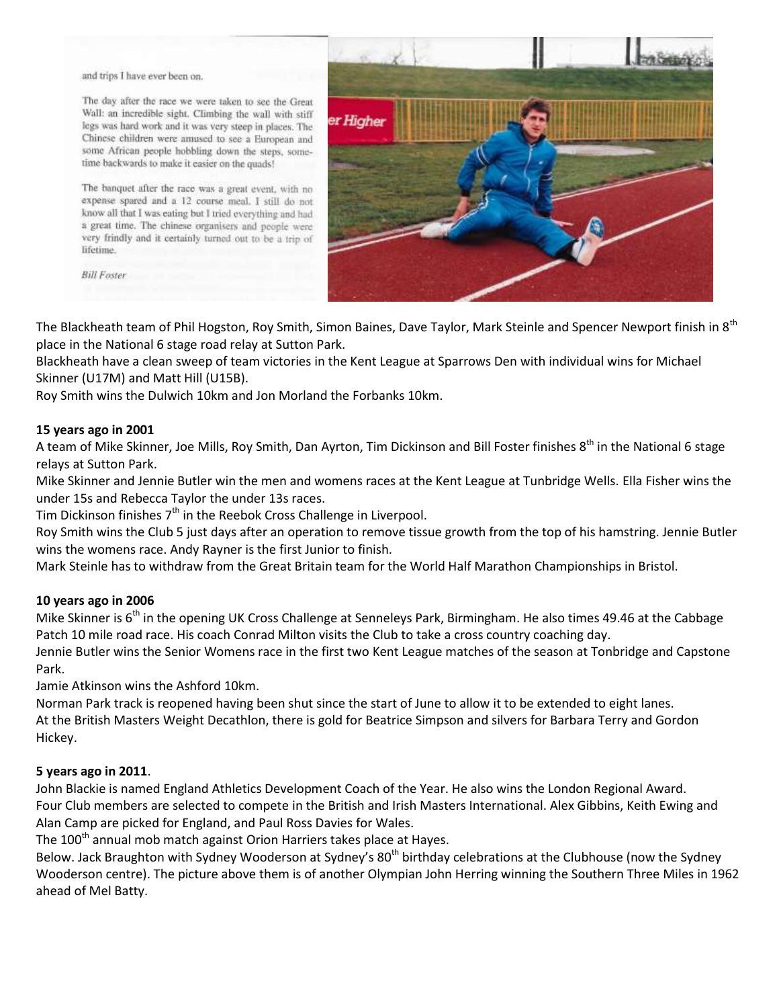and trips I have ever been on.

The day after the race we were taken to see the Great Wall: an incredible sight. Climbing the wall with stiff legs was hard work and it was very steep in places. The Chinese children were amused to see a European and some African people hobbling down the steps, sometime backwards to make it easier on the quads!

The banquet after the race was a great event, with no expense spared and a 12 course meal. I still do not know all that I was eating but I tried everything and had a great time. The chinese organisers and people were very frindly and it certainly turned out to be a trip of lifetime.

**Bill Foster** 



The Blackheath team of Phil Hogston, Roy Smith, Simon Baines, Dave Taylor, Mark Steinle and Spencer Newport finish in 8<sup>th</sup> place in the National 6 stage road relay at Sutton Park.

Blackheath have a clean sweep of team victories in the Kent League at Sparrows Den with individual wins for Michael Skinner (U17M) and Matt Hill (U15B).

Roy Smith wins the Dulwich 10km and Jon Morland the Forbanks 10km.

#### **15 years ago in 2001**

A team of Mike Skinner, Joe Mills, Roy Smith, Dan Ayrton, Tim Dickinson and Bill Foster finishes 8<sup>th</sup> in the National 6 stage relays at Sutton Park.

Mike Skinner and Jennie Butler win the men and womens races at the Kent League at Tunbridge Wells. Ella Fisher wins the under 15s and Rebecca Taylor the under 13s races.

Tim Dickinson finishes 7<sup>th</sup> in the Reebok Cross Challenge in Liverpool.

Roy Smith wins the Club 5 just days after an operation to remove tissue growth from the top of his hamstring. Jennie Butler wins the womens race. Andy Rayner is the first Junior to finish.

Mark Steinle has to withdraw from the Great Britain team for the World Half Marathon Championships in Bristol.

#### **10 years ago in 2006**

Mike Skinner is 6<sup>th</sup> in the opening UK Cross Challenge at Senneleys Park, Birmingham. He also times 49.46 at the Cabbage Patch 10 mile road race. His coach Conrad Milton visits the Club to take a cross country coaching day.

Jennie Butler wins the Senior Womens race in the first two Kent League matches of the season at Tonbridge and Capstone Park.

Jamie Atkinson wins the Ashford 10km.

Norman Park track is reopened having been shut since the start of June to allow it to be extended to eight lanes. At the British Masters Weight Decathlon, there is gold for Beatrice Simpson and silvers for Barbara Terry and Gordon Hickey.

#### **5 years ago in 2011**.

John Blackie is named England Athletics Development Coach of the Year. He also wins the London Regional Award. Four Club members are selected to compete in the British and Irish Masters International. Alex Gibbins, Keith Ewing and Alan Camp are picked for England, and Paul Ross Davies for Wales.

The 100<sup>th</sup> annual mob match against Orion Harriers takes place at Hayes.

Below. Jack Braughton with Sydney Wooderson at Sydney's 80<sup>th</sup> birthday celebrations at the Clubhouse (now the Sydney Wooderson centre). The picture above them is of another Olympian John Herring winning the Southern Three Miles in 1962 ahead of Mel Batty.